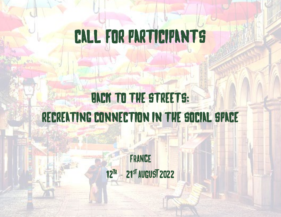# CALL FOR PARTICIPANTS

# BACK TO THE STREETS: RECREATING CONNECTION IN THE SOCIAL SPACE

France 12<sup>TH</sup> - 21<sup>st</sup> AUGUST 2022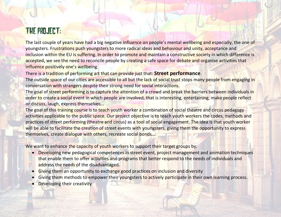#### THE PROJECT:

The last couple of years have had a big negative influence on people's mental wellbeing and especially, the one of youngsters. Frustrations push youngsters to more radical ideas and behaviour and unity, acceptance and inclusion within the EU is suffering. In order to promote and maintain a constructive society in which difference is accepted, we see the need to reconcile people by creating a safe space for debate and organise activities that influence positively one's wellbeing.

There is a tradition of performing art that can provide just that: **Street performance**.

The outside space of our cities are accessible to all but the lack of social trust stops many people from engaging in conversation with strangers despite their strong need for social interactions.

The goal of street performing is to capture the attention of a crowd and break the barriers between individuals in order to create a social event in which people are involved, that is interesting, entertaining, make people reflect or discuss, laugh, express themselves…

The goal of this training course is to teach youth worker a combination of social theatre and circus pedagogy activities applicable to the public space. Our project objective is to teach youth workers the codes, methods and practices of street performing (theatre and circus) as a tool of social engagement. The idea is that youth worker will be able to facilitate the creation of street events with youngsters, giving them the opportunity to express themselves, create dialogue with others, recreate social bonds...

We want to enhance the capacity of youth workers to support their target groups by:

- Developing new pedagogical competences in street event, project management and animation techniques that enable them to offer activities and programs that better respond to the needs of individuals and address the needs of the disadvantaged.
- Giving them an opportunity to exchange good practices on inclusion and diversity
- Giving them methods to empower their youngsters to actively participate in their own learning process.
- **Developing their creativity**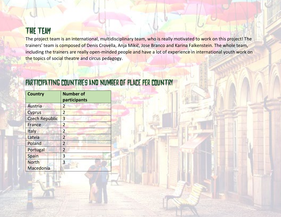#### The Team

The project team is an international, multidisciplinary team, who is really motivated to work on this project! The trainers' team is composed of Denis Crovella, Anja Mikič, Jose Branco and Karina Falkenstein. The whole team, including the trainers are really open-minded people and have a lot of experience in international youth work on the topics of social theatre and circus pedagogy.

| <b>Country</b>        | <b>Number of</b><br>participants |
|-----------------------|----------------------------------|
| Austria               | $\overline{2}$                   |
| <b>Cyprus</b>         | $\overline{2}$                   |
| <b>Czech Republic</b> | 3                                |
| France                | $\overline{2}$                   |
| Italy                 | 2                                |
| Latvia                | $\overline{2}$                   |
| Poland                | $\overline{2}$                   |
| Portugal              | $\overline{2}$                   |
| Spain                 | 3                                |
| <b>North</b>          | 3                                |
| Macedonia             |                                  |

#### PARTICIPATING COUNTRIES AND NUMBER OF PLACE PER COUNTRY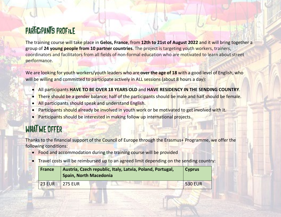### PARTICIPANTS PROFILE

The training course will take place in **Gelos, France**, from **12th to 21st of August 2022** and it will bring together a group of **24 young people from 10 partner countries**. The project is targeting youth workers, trainers, coordinators and facilitators from all fields of non-formal education who are motivated to learn about street performance.

We are looking for youth workers/youth leaders who are **over the age of 18** with a good level of English, who will be willing and committed to participate actively in ALL sessions (about 8 hours a day):

- All participants **HAVE TO BE OVER 18 YEARS OLD** and **HAVE RESIDENCY IN THE SENDING COUNTRY**.
- There should be a gender balance; half of the participants should be male and half should be female.
- All participants should speak and understand English.
- Participants should already be involved in youth work or be motivated to get involved with it.
- **Participants should be interested in making follow up international projects.**

# WHAT WE OFFER

Thanks to the financial support of the Council of Europe through the Erasmus+ Programme, we offer the following conditions:

- Food and accommodation during the training course will be provided
- Travel costs will be reimbursed up to an agreed limit depending on the sending country:

| <b>France</b> | Austria, Czech republic, Italy, Latvia, Poland, Portugal,<br><b>Spain, North Macedonia</b> | <b>Cyprus</b>  |
|---------------|--------------------------------------------------------------------------------------------|----------------|
| <b>23 EUR</b> | <b>275 EUR</b>                                                                             | <b>530 EUR</b> |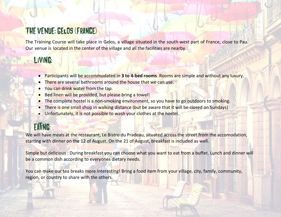### THE VENUE: Gelos (France)

The Training Course will take place in Gelos, a village situated in the south-west part of France, close to Pau. [Our venue is located in the center of the village and all the facilities are nearby.](http://www.mc-hostel.si/)

#### Living:

- Participants will be accommodated in **3 to 4-bed rooms**. Rooms are simple and without any luxury.
- There are several bathrooms around the house that we can use.
- You can drink water from the tap.
- Bed linen will be provided, but please bring a towel!
- The complete hostel is a non-smoking environment, so you have to go outdoors to smoking.
- There is one small shop in walking distance (but be aware that it will be closed on Sundays)
- Unfortunately, it is not possible to wash your clothes at the hostel.

# **EATING:**

We will have meals at the restaurant, Le Bistro du Pradeau, situated across the street from the accomodation, starting with dinner on the 12 of August. On the 21 of August, breakfast is included as well.

Simple but delicious : During breakfast you can choose what you want to eat from a buffet. Lunch and dinner will be a common dish according to everyones dietary needs.

You can make our tea breaks more interesting! Bring a food item from your village, city, family, community, region, or country to share with the others.